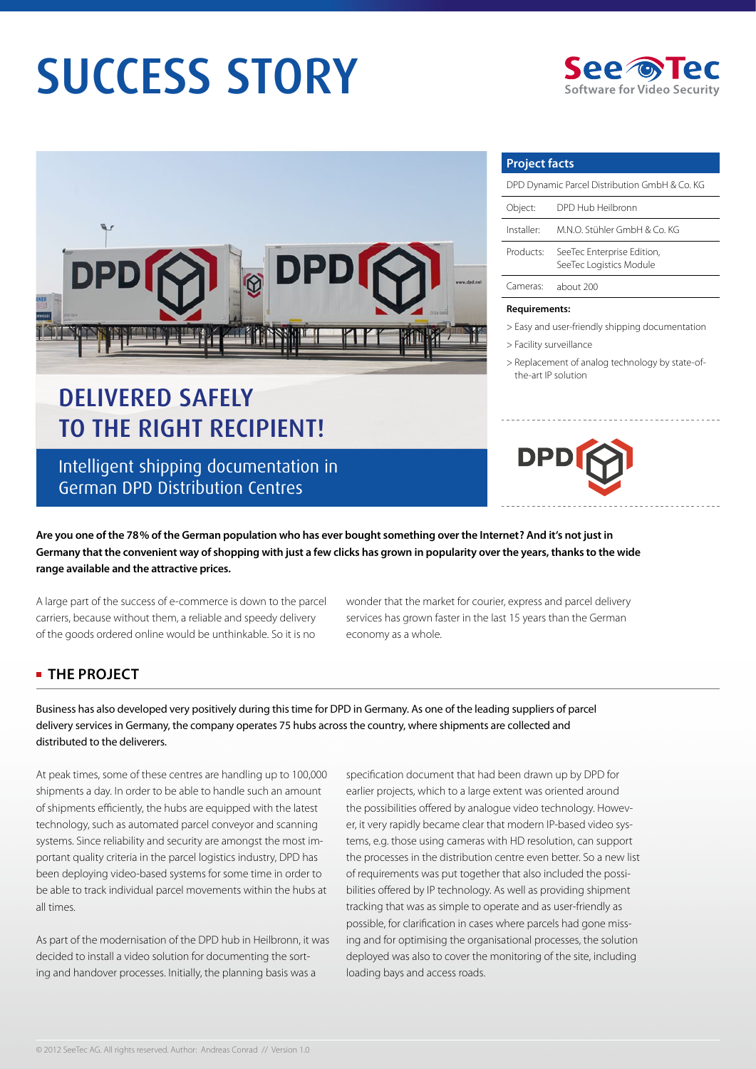# SUCCESS STORY





## Delivered safely to the right recipient!

Intelligent shipping documentation in German DPD Distribution Centres

**Project facts**

| DPD Dynamic Parcel Distribution GmbH & Co. KG |                                                       |
|-----------------------------------------------|-------------------------------------------------------|
| Object:                                       | DPD Hub Heilbronn                                     |
| Installer:                                    | M.N.O. Stühler GmbH & Co. KG                          |
| Products:                                     | SeeTec Enterprise Edition,<br>SeeTec Logistics Module |
| Cameras:                                      | about 200                                             |

#### **Requirements:**

> Easy and user-friendly shipping documentation

- > Facility surveillance
- > Replacement of analog technology by state-of the-art IP solution



**Are you one of the 78 % of the German population who has ever bought something over the Internet? And it's not just in Germany that the convenient way of shopping with just a few clicks has grown in popularity over the years, thanks to the wide range available and the attractive prices.**

A large part of the success of e-commerce is down to the parcel carriers, because without them, a reliable and speedy delivery of the goods ordered online would be unthinkable. So it is no

wonder that the market for courier, express and parcel delivery services has grown faster in the last 15 years than the German economy as a whole.

#### **THE PROJECT**

Business has also developed very positively during this time for DPD in Germany. As one of the leading suppliers of parcel delivery services in Germany, the company operates 75 hubs across the country, where shipments are collected and distributed to the deliverers.

At peak times, some of these centres are handling up to 100,000 shipments a day. In order to be able to handle such an amount of shipments efficiently, the hubs are equipped with the latest technology, such as automated parcel conveyor and scanning systems. Since reliability and security are amongst the most important quality criteria in the parcel logistics industry, DPD has been deploying video-based systems for some time in order to be able to track individual parcel movements within the hubs at all times.

As part of the modernisation of the DPD hub in Heilbronn, it was decided to install a video solution for documenting the sorting and handover processes. Initially, the planning basis was a

specification document that had been drawn up by DPD for earlier projects, which to a large extent was oriented around the possibilities offered by analogue video technology. However, it very rapidly became clear that modern IP-based video systems, e.g. those using cameras with HD resolution, can support the processes in the distribution centre even better. So a new list of requirements was put together that also included the possibilities offered by IP technology. As well as providing shipment tracking that was as simple to operate and as user-friendly as possible, for clarification in cases where parcels had gone missing and for optimising the organisational processes, the solution deployed was also to cover the monitoring of the site, including loading bays and access roads.